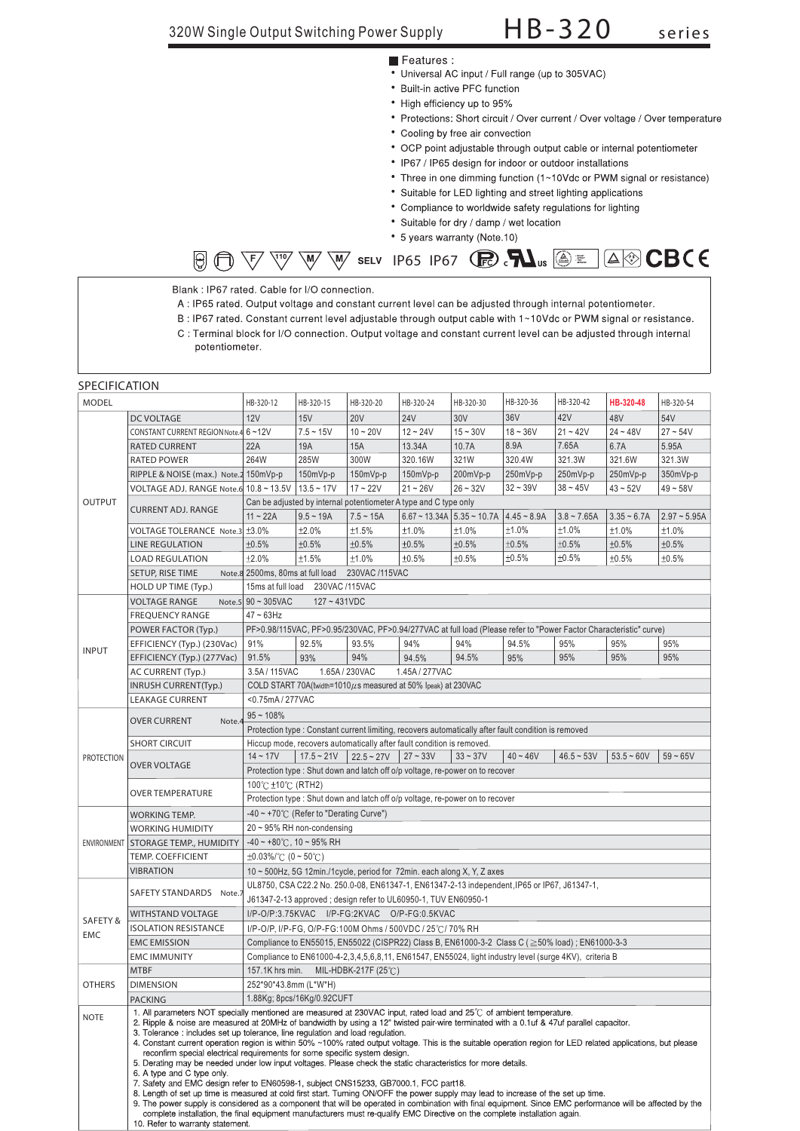- Features :
- Universal AC input / Full range (up to 305VAC)
- Built-in active PFC function
- High efficiency up to 95%
- Protections: Short circuit / Over current / Over voltage / Over temperature
- Cooling by free air convection
- OCP point adjustable through output cable or internal potentiometer
- IP67 / IP65 design for indoor or outdoor installations
- Three in one dimming function (1~10Vdc or PWM signal or resistance)
- Suitable for LED lighting and street lighting applications
- Compliance to worldwide safety regulations for lighting
- Suitable for dry / damp / wet location
- \* 5 years warranty (Note.10)

| $\text{For example, the following property:} \begin{equation*} \text{For example, the following inequality holds:} \begin{align*} \text{For example, the following inequality holds:} \begin{align*} \text{For example, the following inequality holds:} \begin{align*} \text{For example, the following inequality holds:} \begin{align*} \text{For example, the following inequality holds:} \begin{align*} \text{For example, the following inequality holds:} \begin{align*} \text{For example, the following inequality holds:} \end{align*} \end{align*} \begin{align*} \text{For example, the following inequality holds:} \begin{align*} \text{For example, the following inequality holds:} \begin{align*} \text{For example, the following inequality holds:} \begin{align*} \text{For example, the following inequality holds$ |  |  |  |  |  |  |
|-------------------------------------------------------------------------------------------------------------------------------------------------------------------------------------------------------------------------------------------------------------------------------------------------------------------------------------------------------------------------------------------------------------------------------------------------------------------------------------------------------------------------------------------------------------------------------------------------------------------------------------------------------------------------------------------------------------------------------------------------------------------------------------------------------------------------------------------|--|--|--|--|--|--|
|-------------------------------------------------------------------------------------------------------------------------------------------------------------------------------------------------------------------------------------------------------------------------------------------------------------------------------------------------------------------------------------------------------------------------------------------------------------------------------------------------------------------------------------------------------------------------------------------------------------------------------------------------------------------------------------------------------------------------------------------------------------------------------------------------------------------------------------------|--|--|--|--|--|--|

Blank : IP67 rated. Cable for I/O connection.

- A : IP65 rated. Output voltage and constant current level can be adjusted through internal potentiometer.
- B: IP67 rated. Constant current level adjustable through output cable with 1~10Vdc or PWM signal or resistance.
- C : Terminal block for I/O connection. Output voltage and constant current level can be adjusted through internal potentiometer.

### **SPECIFICATION**

| MODEL             |                                                                                                                                                                                                                                                                                                                                                                                                                                                                                                                                                                                                                                                                                                                                                                                                                                                                                                                                                                                                                                                                                                                                                                                                                                                                         | HB-320-12                                                                                                                                        | HB-320-15                        | HB-320-20           | HB-320-24                                                             | HB-320-30                                                                                                         | HB-320-36  | HB-320-42    | HB-320-48    | HB-320-54  |  |
|-------------------|-------------------------------------------------------------------------------------------------------------------------------------------------------------------------------------------------------------------------------------------------------------------------------------------------------------------------------------------------------------------------------------------------------------------------------------------------------------------------------------------------------------------------------------------------------------------------------------------------------------------------------------------------------------------------------------------------------------------------------------------------------------------------------------------------------------------------------------------------------------------------------------------------------------------------------------------------------------------------------------------------------------------------------------------------------------------------------------------------------------------------------------------------------------------------------------------------------------------------------------------------------------------------|--------------------------------------------------------------------------------------------------------------------------------------------------|----------------------------------|---------------------|-----------------------------------------------------------------------|-------------------------------------------------------------------------------------------------------------------|------------|--------------|--------------|------------|--|
|                   | DC VOLTAGE                                                                                                                                                                                                                                                                                                                                                                                                                                                                                                                                                                                                                                                                                                                                                                                                                                                                                                                                                                                                                                                                                                                                                                                                                                                              | <b>12V</b>                                                                                                                                       | 15V                              | <b>20V</b>          | <b>24V</b>                                                            | 30V                                                                                                               | 36V        | 42V          | 48V          | 54V        |  |
|                   | CONSTANT CURRENT REGION Note.4 6~12V                                                                                                                                                                                                                                                                                                                                                                                                                                                                                                                                                                                                                                                                                                                                                                                                                                                                                                                                                                                                                                                                                                                                                                                                                                    |                                                                                                                                                  | $7.5 - 15V$                      | $10 - 20V$          | $12 - 24V$                                                            | $15 - 30V$                                                                                                        | $18 - 36V$ | $21 - 42V$   | $24 - 48V$   | $27 - 54V$ |  |
|                   | <b>RATED CURRENT</b>                                                                                                                                                                                                                                                                                                                                                                                                                                                                                                                                                                                                                                                                                                                                                                                                                                                                                                                                                                                                                                                                                                                                                                                                                                                    | 22A                                                                                                                                              | 19A                              | 15A                 | 13.34A                                                                | 10.7A                                                                                                             | 8.9A       | 7.65A        | 6.7A         | 5.95A      |  |
|                   | <b>RATED POWER</b>                                                                                                                                                                                                                                                                                                                                                                                                                                                                                                                                                                                                                                                                                                                                                                                                                                                                                                                                                                                                                                                                                                                                                                                                                                                      | 264W                                                                                                                                             | 285W                             | 300W                | 320.16W                                                               | 321W                                                                                                              | 320.4W     | 321.3W       | 321.6W       | 321.3W     |  |
|                   | RIPPLE & NOISE (max.) Note.2 150mVp-p                                                                                                                                                                                                                                                                                                                                                                                                                                                                                                                                                                                                                                                                                                                                                                                                                                                                                                                                                                                                                                                                                                                                                                                                                                   |                                                                                                                                                  | 150mVp-p                         | 150mVp-p            | 150mVp-p                                                              | 200mVp-p                                                                                                          | 250mVp-p   | 250mVp-p     | 250mVp-p     | 350mVp-p   |  |
|                   | VOLTAGE ADJ. RANGE Note.6 10.8 ~ 13.5V   13.5 ~ 17V                                                                                                                                                                                                                                                                                                                                                                                                                                                                                                                                                                                                                                                                                                                                                                                                                                                                                                                                                                                                                                                                                                                                                                                                                     |                                                                                                                                                  |                                  | $17 - 22V$          | $21 - 26V$                                                            | $26 - 32V$                                                                                                        | $32 - 39V$ | $38 - 45V$   | $43 - 52V$   | $49 - 58V$ |  |
| <b>OUTPUT</b>     |                                                                                                                                                                                                                                                                                                                                                                                                                                                                                                                                                                                                                                                                                                                                                                                                                                                                                                                                                                                                                                                                                                                                                                                                                                                                         | Can be adjusted by internal potentiometer A type and C type only                                                                                 |                                  |                     |                                                                       |                                                                                                                   |            |              |              |            |  |
|                   | <b>CURRENT ADJ. RANGE</b>                                                                                                                                                                                                                                                                                                                                                                                                                                                                                                                                                                                                                                                                                                                                                                                                                                                                                                                                                                                                                                                                                                                                                                                                                                               | $6.67 \sim 13.34A$ 5.35 ~ 10.7A<br>$11 - 22A$<br>$9.5 - 19A$<br>$7.5 - 15A$<br>$4.45 - 8.9A$<br>$3.8 - 7.65A$<br>$3.35 - 6.7A$<br>$2.97 - 5.95A$ |                                  |                     |                                                                       |                                                                                                                   |            |              |              |            |  |
|                   | VOLTAGE TOLERANCE Note.3 ±3.0%                                                                                                                                                                                                                                                                                                                                                                                                                                                                                                                                                                                                                                                                                                                                                                                                                                                                                                                                                                                                                                                                                                                                                                                                                                          |                                                                                                                                                  | ±2.0%                            | ±1.5%               | ±1.0%                                                                 | ±1.0%                                                                                                             | ±1.0%      | ±1.0%        | ±1.0%        | ±1.0%      |  |
|                   | <b>LINE REGULATION</b>                                                                                                                                                                                                                                                                                                                                                                                                                                                                                                                                                                                                                                                                                                                                                                                                                                                                                                                                                                                                                                                                                                                                                                                                                                                  | ±0.5%                                                                                                                                            | ±0.5%                            | ±0.5%               | ±0.5%                                                                 | ±0.5%                                                                                                             | ±0.5%      | ±0.5%        | ±0.5%        | ±0.5%      |  |
|                   | <b>LOAD REGULATION</b>                                                                                                                                                                                                                                                                                                                                                                                                                                                                                                                                                                                                                                                                                                                                                                                                                                                                                                                                                                                                                                                                                                                                                                                                                                                  | ±2.0%                                                                                                                                            | ±1.5%                            | ±1.0%               | ±0.5%                                                                 | ±0.5%                                                                                                             | ±0.5%      | ±0.5%        | ±0.5%        | ±0.5%      |  |
|                   | SETUP, RISE TIME                                                                                                                                                                                                                                                                                                                                                                                                                                                                                                                                                                                                                                                                                                                                                                                                                                                                                                                                                                                                                                                                                                                                                                                                                                                        | Note.8 2500ms, 80ms at full load 230VAC /115VAC                                                                                                  |                                  |                     |                                                                       |                                                                                                                   |            |              |              |            |  |
|                   | HOLD UP TIME (Typ.)                                                                                                                                                                                                                                                                                                                                                                                                                                                                                                                                                                                                                                                                                                                                                                                                                                                                                                                                                                                                                                                                                                                                                                                                                                                     |                                                                                                                                                  | 15ms at full load 230VAC /115VAC |                     |                                                                       |                                                                                                                   |            |              |              |            |  |
|                   | <b>VOLTAGE RANGE</b>                                                                                                                                                                                                                                                                                                                                                                                                                                                                                                                                                                                                                                                                                                                                                                                                                                                                                                                                                                                                                                                                                                                                                                                                                                                    | Note.5 $90 \sim 305$ VAC                                                                                                                         | $127 - 431VDC$                   |                     |                                                                       |                                                                                                                   |            |              |              |            |  |
|                   |                                                                                                                                                                                                                                                                                                                                                                                                                                                                                                                                                                                                                                                                                                                                                                                                                                                                                                                                                                                                                                                                                                                                                                                                                                                                         | $47 \sim 63$ Hz                                                                                                                                  |                                  |                     |                                                                       |                                                                                                                   |            |              |              |            |  |
|                   | <b>FREQUENCY RANGE</b>                                                                                                                                                                                                                                                                                                                                                                                                                                                                                                                                                                                                                                                                                                                                                                                                                                                                                                                                                                                                                                                                                                                                                                                                                                                  |                                                                                                                                                  |                                  |                     |                                                                       |                                                                                                                   |            |              |              |            |  |
|                   | POWER FACTOR (Typ.)                                                                                                                                                                                                                                                                                                                                                                                                                                                                                                                                                                                                                                                                                                                                                                                                                                                                                                                                                                                                                                                                                                                                                                                                                                                     |                                                                                                                                                  |                                  |                     |                                                                       | PF>0.98/115VAC, PF>0.95/230VAC, PF>0.94/277VAC at full load (Please refer to "Power Factor Characteristic" curve) |            |              |              |            |  |
| <b>INPUT</b>      | EFFICIENCY (Typ.) (230Vac)                                                                                                                                                                                                                                                                                                                                                                                                                                                                                                                                                                                                                                                                                                                                                                                                                                                                                                                                                                                                                                                                                                                                                                                                                                              | 91%                                                                                                                                              | 92.5%                            | 93.5%               | 94%                                                                   | 94%                                                                                                               | 94.5%      | 95%          | 95%          | 95%        |  |
|                   | EFFICIENCY (Typ.) (277Vac)                                                                                                                                                                                                                                                                                                                                                                                                                                                                                                                                                                                                                                                                                                                                                                                                                                                                                                                                                                                                                                                                                                                                                                                                                                              | 91.5%                                                                                                                                            | 93%                              | 94%                 | 94.5%                                                                 | 94.5%                                                                                                             | 95%        | 95%          | 95%          | 95%        |  |
|                   | AC CURRENT (Typ.)                                                                                                                                                                                                                                                                                                                                                                                                                                                                                                                                                                                                                                                                                                                                                                                                                                                                                                                                                                                                                                                                                                                                                                                                                                                       | 3.5A/115VAC                                                                                                                                      |                                  | 1.65A / 230VAC      | 1.45A / 277VAC                                                        |                                                                                                                   |            |              |              |            |  |
|                   | <b>INRUSH CURRENT(Typ.)</b>                                                                                                                                                                                                                                                                                                                                                                                                                                                                                                                                                                                                                                                                                                                                                                                                                                                                                                                                                                                                                                                                                                                                                                                                                                             |                                                                                                                                                  |                                  |                     | COLD START 70A(twidth=1010 $\mu$ s measured at 50% Ipeak) at 230VAC   |                                                                                                                   |            |              |              |            |  |
|                   | <b>LEAKAGE CURRENT</b>                                                                                                                                                                                                                                                                                                                                                                                                                                                                                                                                                                                                                                                                                                                                                                                                                                                                                                                                                                                                                                                                                                                                                                                                                                                  | <0.75mA / 277VAC                                                                                                                                 |                                  |                     |                                                                       |                                                                                                                   |            |              |              |            |  |
|                   | <b>OVER CURRENT</b><br>Note.                                                                                                                                                                                                                                                                                                                                                                                                                                                                                                                                                                                                                                                                                                                                                                                                                                                                                                                                                                                                                                                                                                                                                                                                                                            | $95 - 108%$                                                                                                                                      |                                  |                     |                                                                       |                                                                                                                   |            |              |              |            |  |
|                   |                                                                                                                                                                                                                                                                                                                                                                                                                                                                                                                                                                                                                                                                                                                                                                                                                                                                                                                                                                                                                                                                                                                                                                                                                                                                         | Protection type : Constant current limiting, recovers automatically after fault condition is removed                                             |                                  |                     |                                                                       |                                                                                                                   |            |              |              |            |  |
|                   | <b>SHORT CIRCUIT</b>                                                                                                                                                                                                                                                                                                                                                                                                                                                                                                                                                                                                                                                                                                                                                                                                                                                                                                                                                                                                                                                                                                                                                                                                                                                    |                                                                                                                                                  |                                  |                     | Hiccup mode, recovers automatically after fault condition is removed. |                                                                                                                   |            |              |              |            |  |
| <b>PROTECTION</b> | <b>OVER VOLTAGE</b>                                                                                                                                                                                                                                                                                                                                                                                                                                                                                                                                                                                                                                                                                                                                                                                                                                                                                                                                                                                                                                                                                                                                                                                                                                                     | $14 - 17V$                                                                                                                                       | $17.5 - 21V$                     | $22.5 - 27V$        | $27 - 33V$                                                            | $33 - 37V$                                                                                                        | $40 - 46V$ | $46.5 - 53V$ | $53.5 - 60V$ | $59 - 65V$ |  |
|                   |                                                                                                                                                                                                                                                                                                                                                                                                                                                                                                                                                                                                                                                                                                                                                                                                                                                                                                                                                                                                                                                                                                                                                                                                                                                                         | Protection type : Shut down and latch off o/p voltage, re-power on to recover                                                                    |                                  |                     |                                                                       |                                                                                                                   |            |              |              |            |  |
|                   |                                                                                                                                                                                                                                                                                                                                                                                                                                                                                                                                                                                                                                                                                                                                                                                                                                                                                                                                                                                                                                                                                                                                                                                                                                                                         | 100℃ ±10℃ (RTH2)                                                                                                                                 |                                  |                     |                                                                       |                                                                                                                   |            |              |              |            |  |
|                   | OVER TEMPERATURE                                                                                                                                                                                                                                                                                                                                                                                                                                                                                                                                                                                                                                                                                                                                                                                                                                                                                                                                                                                                                                                                                                                                                                                                                                                        | Protection type : Shut down and latch off o/p voltage, re-power on to recover                                                                    |                                  |                     |                                                                       |                                                                                                                   |            |              |              |            |  |
|                   | WORKING TEMP.                                                                                                                                                                                                                                                                                                                                                                                                                                                                                                                                                                                                                                                                                                                                                                                                                                                                                                                                                                                                                                                                                                                                                                                                                                                           | $-40 \sim +70^{\circ}$ (Refer to "Derating Curve")                                                                                               |                                  |                     |                                                                       |                                                                                                                   |            |              |              |            |  |
|                   | <b>WORKING HUMIDITY</b>                                                                                                                                                                                                                                                                                                                                                                                                                                                                                                                                                                                                                                                                                                                                                                                                                                                                                                                                                                                                                                                                                                                                                                                                                                                 | 20 ~ 95% RH non-condensing                                                                                                                       |                                  |                     |                                                                       |                                                                                                                   |            |              |              |            |  |
| ENVIRONMENT       | <b>STORAGE TEMP., HUMIDITY</b>                                                                                                                                                                                                                                                                                                                                                                                                                                                                                                                                                                                                                                                                                                                                                                                                                                                                                                                                                                                                                                                                                                                                                                                                                                          | $-40 \sim +80^{\circ}$ C, 10 ~ 95% RH                                                                                                            |                                  |                     |                                                                       |                                                                                                                   |            |              |              |            |  |
|                   | TEMP. COEFFICIENT                                                                                                                                                                                                                                                                                                                                                                                                                                                                                                                                                                                                                                                                                                                                                                                                                                                                                                                                                                                                                                                                                                                                                                                                                                                       | $\pm 0.03\%$ (0 ~ 50°C)                                                                                                                          |                                  |                     |                                                                       |                                                                                                                   |            |              |              |            |  |
|                   | VIBRATION                                                                                                                                                                                                                                                                                                                                                                                                                                                                                                                                                                                                                                                                                                                                                                                                                                                                                                                                                                                                                                                                                                                                                                                                                                                               | 10 ~ 500Hz, 5G 12min./1cycle, period for 72min. each along X, Y, Z axes                                                                          |                                  |                     |                                                                       |                                                                                                                   |            |              |              |            |  |
|                   |                                                                                                                                                                                                                                                                                                                                                                                                                                                                                                                                                                                                                                                                                                                                                                                                                                                                                                                                                                                                                                                                                                                                                                                                                                                                         | UL8750, CSA C22.2 No. 250.0-08, EN61347-1, EN61347-2-13 independent, IP65 or IP67, J61347-1,                                                     |                                  |                     |                                                                       |                                                                                                                   |            |              |              |            |  |
|                   | SAFETY STANDARDS Note.7                                                                                                                                                                                                                                                                                                                                                                                                                                                                                                                                                                                                                                                                                                                                                                                                                                                                                                                                                                                                                                                                                                                                                                                                                                                 | J61347-2-13 approved; design refer to UL60950-1, TUV EN60950-1                                                                                   |                                  |                     |                                                                       |                                                                                                                   |            |              |              |            |  |
|                   | <b>WITHSTAND VOLTAGE</b>                                                                                                                                                                                                                                                                                                                                                                                                                                                                                                                                                                                                                                                                                                                                                                                                                                                                                                                                                                                                                                                                                                                                                                                                                                                | I/P-O/P:3.75KVAC I/P-FG:2KVAC O/P-FG:0.5KVAC                                                                                                     |                                  |                     |                                                                       |                                                                                                                   |            |              |              |            |  |
| SAFETY &          | <b>ISOLATION RESISTANCE</b>                                                                                                                                                                                                                                                                                                                                                                                                                                                                                                                                                                                                                                                                                                                                                                                                                                                                                                                                                                                                                                                                                                                                                                                                                                             | I/P-O/P. I/P-FG. O/P-FG:100M Ohms / 500VDC / 25℃/ 70% RH                                                                                         |                                  |                     |                                                                       |                                                                                                                   |            |              |              |            |  |
| <b>EMC</b>        | <b>EMC EMISSION</b>                                                                                                                                                                                                                                                                                                                                                                                                                                                                                                                                                                                                                                                                                                                                                                                                                                                                                                                                                                                                                                                                                                                                                                                                                                                     | Compliance to EN55015, EN55022 (CISPR22) Class B, EN61000-3-2 Class C (≥50% load); EN61000-3-3                                                   |                                  |                     |                                                                       |                                                                                                                   |            |              |              |            |  |
|                   | <b>EMC IMMUNITY</b>                                                                                                                                                                                                                                                                                                                                                                                                                                                                                                                                                                                                                                                                                                                                                                                                                                                                                                                                                                                                                                                                                                                                                                                                                                                     |                                                                                                                                                  |                                  |                     |                                                                       | Compliance to EN61000-4-2,3,4,5,6,8,11, EN61547, EN55024, light industry level (surge 4KV), criteria B            |            |              |              |            |  |
|                   | <b>MTBF</b>                                                                                                                                                                                                                                                                                                                                                                                                                                                                                                                                                                                                                                                                                                                                                                                                                                                                                                                                                                                                                                                                                                                                                                                                                                                             | 157.1K hrs min.                                                                                                                                  |                                  | MIL-HDBK-217F (25℃) |                                                                       |                                                                                                                   |            |              |              |            |  |
| <b>OTHERS</b>     | <b>DIMENSION</b>                                                                                                                                                                                                                                                                                                                                                                                                                                                                                                                                                                                                                                                                                                                                                                                                                                                                                                                                                                                                                                                                                                                                                                                                                                                        | 252*90*43.8mm (L*W*H)                                                                                                                            |                                  |                     |                                                                       |                                                                                                                   |            |              |              |            |  |
|                   |                                                                                                                                                                                                                                                                                                                                                                                                                                                                                                                                                                                                                                                                                                                                                                                                                                                                                                                                                                                                                                                                                                                                                                                                                                                                         |                                                                                                                                                  | 1.88Kg; 8pcs/16Kg/0.92CUFT       |                     |                                                                       |                                                                                                                   |            |              |              |            |  |
|                   | <b>PACKING</b>                                                                                                                                                                                                                                                                                                                                                                                                                                                                                                                                                                                                                                                                                                                                                                                                                                                                                                                                                                                                                                                                                                                                                                                                                                                          |                                                                                                                                                  |                                  |                     |                                                                       |                                                                                                                   |            |              |              |            |  |
| <b>NOTE</b>       | 1. All parameters NOT specially mentioned are measured at 230VAC input, rated load and 25°C of ambient temperature.<br>2. Ripple & noise are measured at 20MHz of bandwidth by using a 12" twisted pair-wire terminated with a 0.1uf & 47uf parallel capacitor.<br>3. Tolerance: includes set up tolerance, line regulation and load regulation.<br>4. Constant current operation region is within 50% ~100% rated output voltage. This is the suitable operation region for LED related applications, but please<br>reconfirm special electrical requirements for some specific system design.<br>5. Derating may be needed under low input voltages. Please check the static characteristics for more details.<br>6. A type and C type only.<br>7. Safety and EMC design refer to EN60598-1, subject CNS15233, GB7000.1, FCC part18.<br>8. Length of set up time is measured at cold first start. Turning ON/OFF the power supply may lead to increase of the set up time.<br>9. The power supply is considered as a component that will be operated in combination with final equipment. Since EMC performance will be affected by the<br>complete installation, the final equipment manufacturers must re-qualify EMC Directive on the complete installation again. |                                                                                                                                                  |                                  |                     |                                                                       |                                                                                                                   |            |              |              |            |  |
|                   | 10. Refer to warranty statement.                                                                                                                                                                                                                                                                                                                                                                                                                                                                                                                                                                                                                                                                                                                                                                                                                                                                                                                                                                                                                                                                                                                                                                                                                                        |                                                                                                                                                  |                                  |                     |                                                                       |                                                                                                                   |            |              |              |            |  |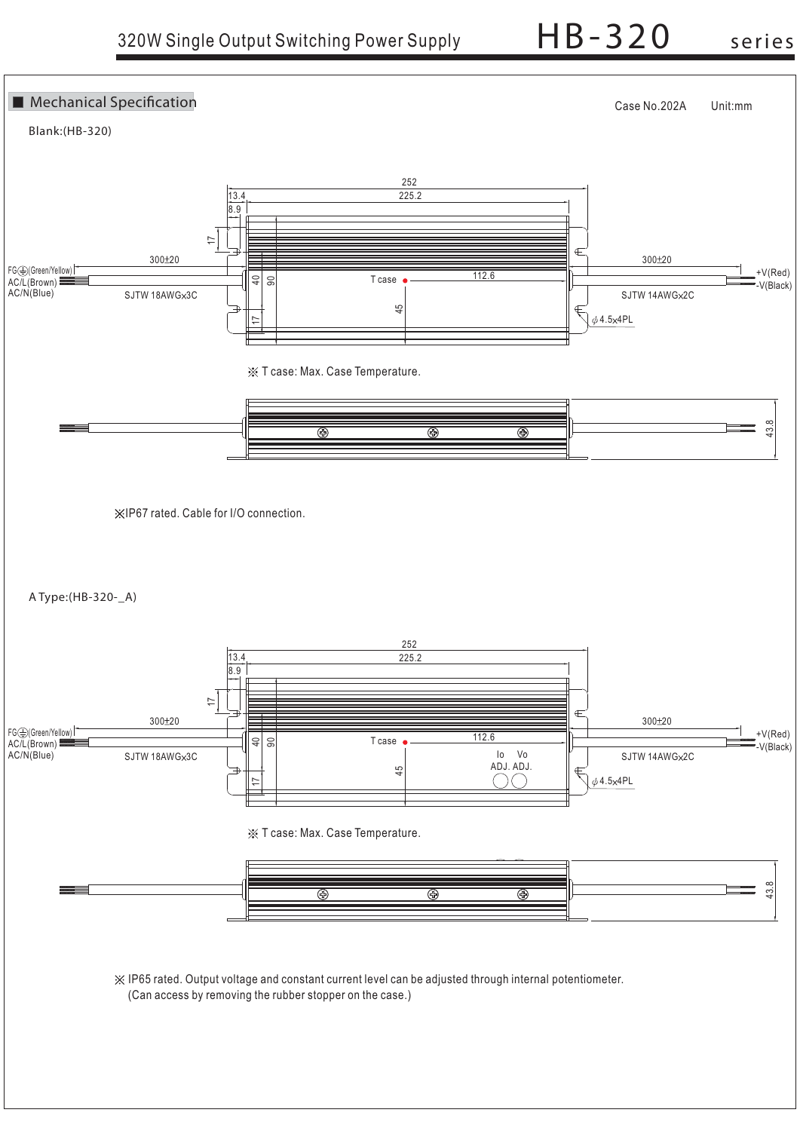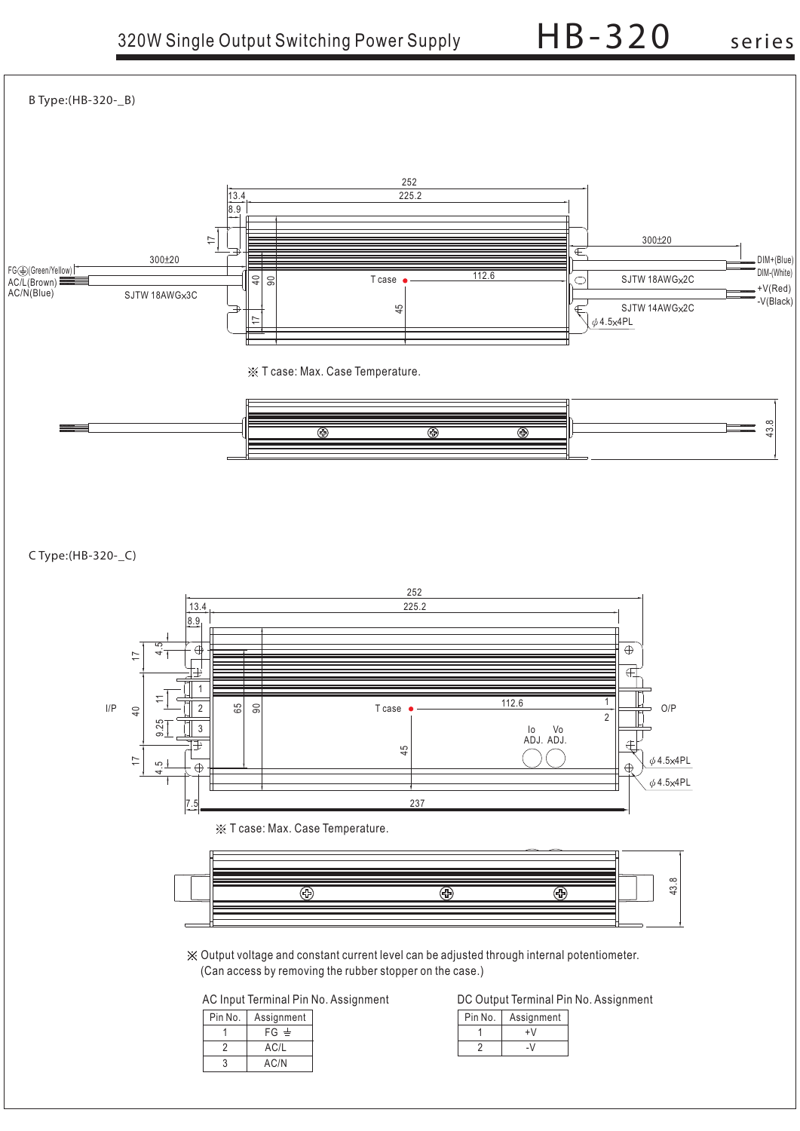

**C Type:(HB-320-\_C)**





Output voltage and constant current level can be adjusted through internal potentiometer. (Can access by removing the rubber stopper on the case.)

| Pin No. | Assignment |
|---------|------------|
|         | $FG \pm$   |
|         | AC/L       |
|         | AC/N       |

AC Input Terminal Pin No. Assignment DC Output Terminal Pin No. Assignment

| Assignment |  | Pin No. Assignment |
|------------|--|--------------------|
| $FG \pm$   |  |                    |
| AC/L       |  | - V                |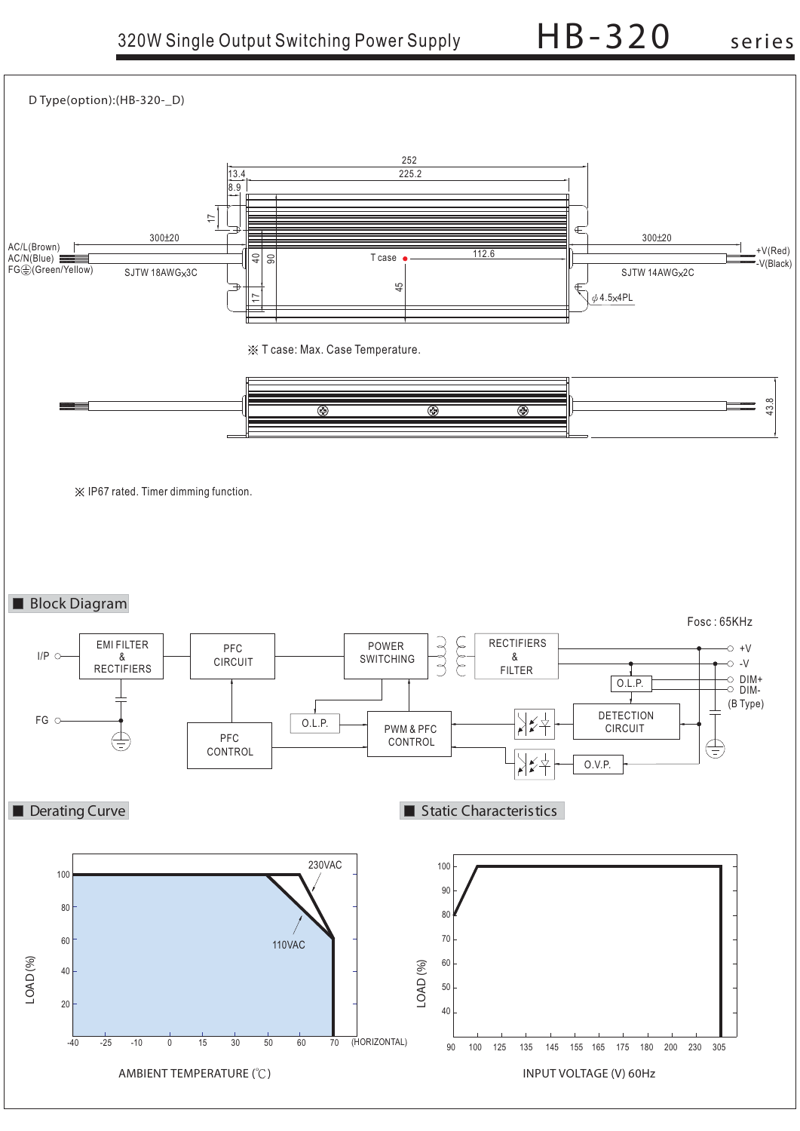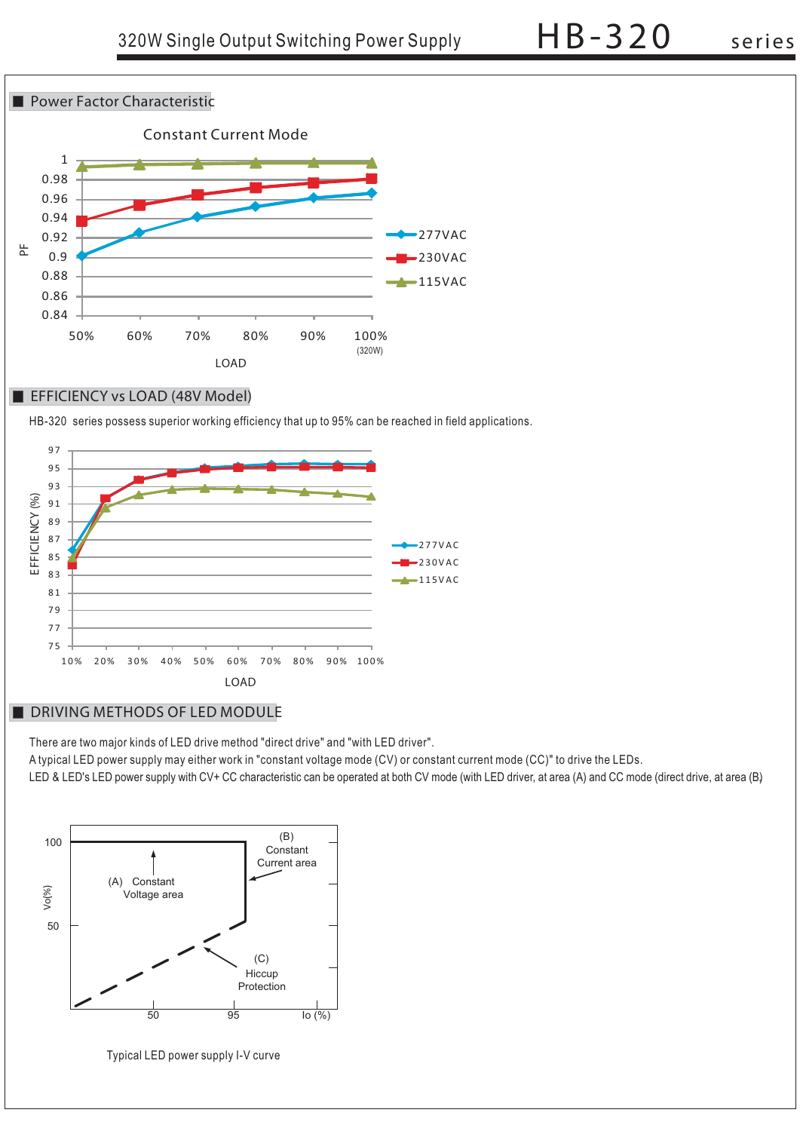

### **EFFICIENCY vs LOAD (48V Model)**

HB-320 series possess superior working efficiency that up to 95% can be reached in field applications.



# **DRIVING METHODS OF LED MODULE**

There are two major kinds of LED drive method "direct drive" and "with LED driver".

A typical LED power supply may either work in "constant voltage mode (CV) or constant current mode (CC)" to drive the LEDs.

LED & LED's LED power supply with CV+ CC characteristic can be operated at both CV mode (with LED driver, at area (A) and CC mode (direct drive, at area (B)



Typical LED power supply I-V curve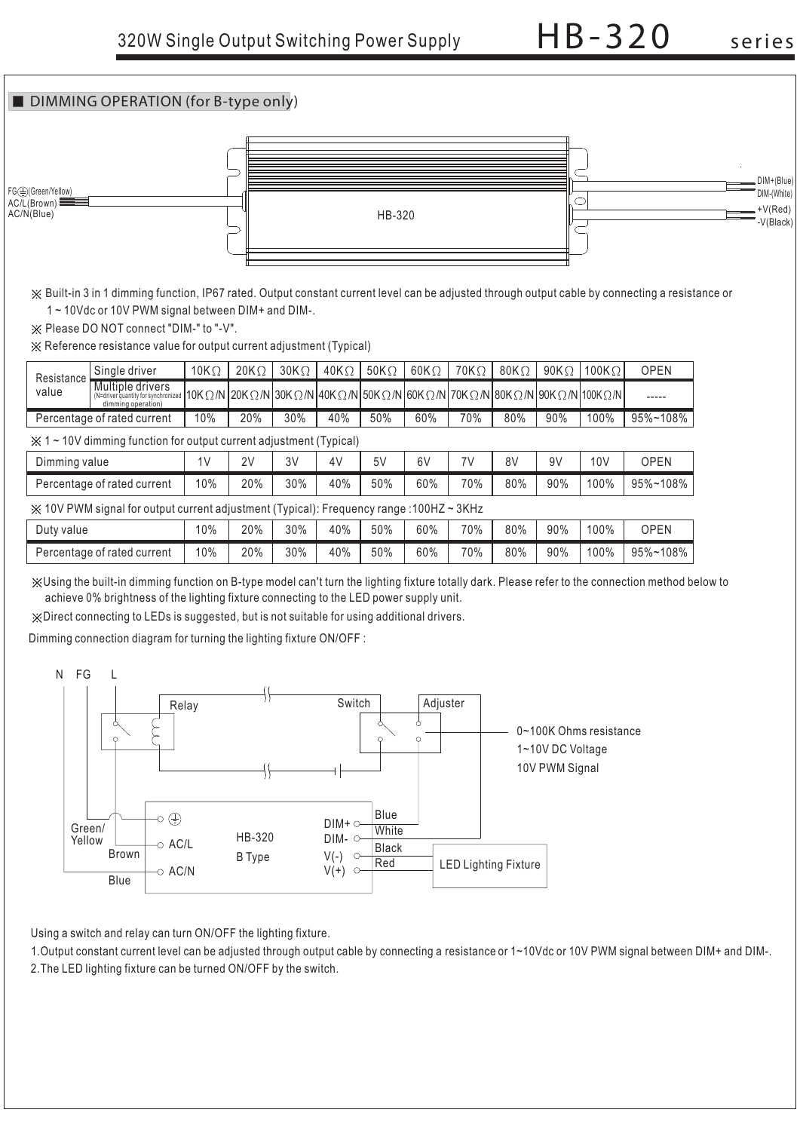

Built-in 3 in 1 dimming function, IP67 rated. Output constant current level can be adjusted through output cable by connecting a resistance or 1 ~ 10Vdc or 10V PWM signal between DIM+ and DIM-.

 $\frac{1}{2}$  Please DO NOT connect "DIM-" to "-V".

Percentage of rated current

Reference resistance value for output current adjustment (Typical)

| Resistance                                                                                                     | Single driver                                                                                                                                                                                                                                                        | $10K\Omega$ | $20K\Omega$ | $30K\Omega$ | $40K\Omega$ | 50K $\Omega$ | $60K\Omega$ | $70K\Omega$ | 80K $\Omega$ | $90K\Omega$ | 100K $\Omega$ | <b>OPEN</b> |
|----------------------------------------------------------------------------------------------------------------|----------------------------------------------------------------------------------------------------------------------------------------------------------------------------------------------------------------------------------------------------------------------|-------------|-------------|-------------|-------------|--------------|-------------|-------------|--------------|-------------|---------------|-------------|
| value                                                                                                          | Multiple drivers<br>(N=dirver quantity for synchronized   10K $\Omega$ /N   20K $\Omega$ /N   30K $\Omega$ /N   40K $\Omega$ /N   50K $\Omega$ /N   50K $\Omega$ /N   70K $\Omega$ /N   80K $\Omega$ /N   90K $\Omega$ /N   100K $\Omega$ /N  <br>dimming operation) |             |             |             |             |              |             |             |              |             |               | -----       |
| Percentage of rated current<br>20%<br>30%<br>40%<br>50%<br>60%<br>70%<br>80%<br>100%<br>95%~108%<br>10%<br>90% |                                                                                                                                                                                                                                                                      |             |             |             |             |              |             |             |              |             |               |             |
|                                                                                                                | $\frac{1}{2}$ 1 ~ 10V dimming function for output current adjustment (Typical)                                                                                                                                                                                       |             |             |             |             |              |             |             |              |             |               |             |
| 3V<br>5V<br>7V<br>10 <sub>V</sub><br>Dimming value<br>2V<br>4V<br>6V<br>8V<br>9V<br><b>OPEN</b><br>1۷          |                                                                                                                                                                                                                                                                      |             |             |             |             |              |             |             |              |             |               |             |
| 30%<br>100%<br>20%<br>40%<br>50%<br>60%<br>70%<br>80%<br>90%<br>10%<br>Percentage of rated current             |                                                                                                                                                                                                                                                                      |             |             |             |             |              |             | 95%~108%    |              |             |               |             |
| $\chi$ 10V PWM signal for output current adjustment (Typical): Frequency range :100HZ ~ 3KHz                   |                                                                                                                                                                                                                                                                      |             |             |             |             |              |             |             |              |             |               |             |
| Duty value                                                                                                     |                                                                                                                                                                                                                                                                      | 10%         | 20%         | 30%         | 40%         | 50%          | 60%         | 70%         | 80%          | 90%         | 100%          | <b>OPEN</b> |

40%

Using the built-in dimming function on B-type model can't turn the lighting fixture totally dark. Please refer to the connection method below to achieve 0% brightness of the lighting fixture connecting to the LED power supply unit.

50%

60%

70%

80%

90%

100%

95%~108%

Direct connecting to LEDs is suggested, but is not suitable for using additional drivers.

20%

30%

Dimming connection diagram for turning the lighting fixture ON/OFF :

10%



Using a switch and relay can turn ON/OFF the lighting fixture.

1. Output constant current level can be adjusted through output cable by connecting a resistance or 1~10Vdc or 10V PWM signal between DIM+ and DIM-. 2.The LED lighting fixture can be turned ON/OFF by the switch.